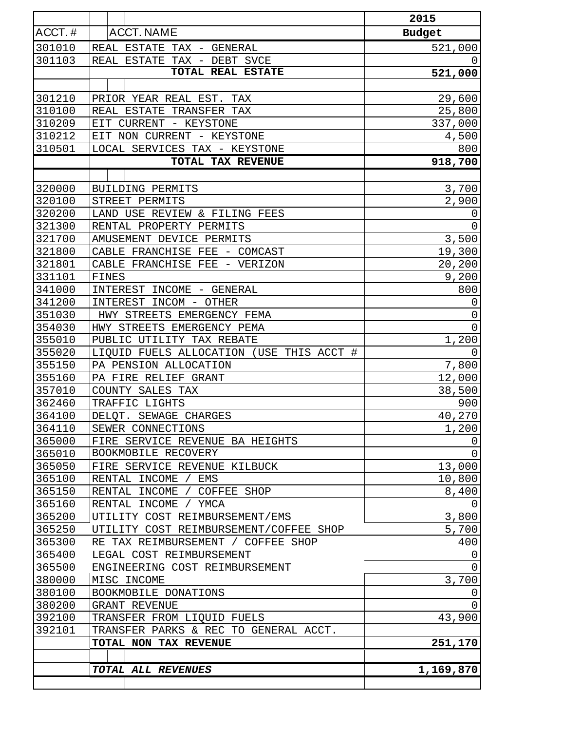|        |                                          | 2015           |
|--------|------------------------------------------|----------------|
| ACCT.# | <b>ACCT. NAME</b>                        | <b>Budget</b>  |
| 301010 | REAL ESTATE TAX - GENERAL                | 521,000        |
| 301103 | REAL ESTATE TAX - DEBT SVCE              | 0              |
|        | <b>TOTAL REAL ESTATE</b>                 | 521,000        |
|        |                                          |                |
| 301210 | PRIOR YEAR REAL EST. TAX                 | 29,600         |
| 310100 | REAL ESTATE TRANSFER TAX                 | 25,800         |
| 310209 | EIT CURRENT - KEYSTONE                   | 337,000        |
| 310212 | EIT NON CURRENT - KEYSTONE               | 4,500          |
| 310501 | LOCAL SERVICES TAX - KEYSTONE            | 800            |
|        | TOTAL TAX REVENUE                        | 918,700        |
|        |                                          |                |
| 320000 | BUILDING PERMITS                         | 3,700          |
| 320100 | STREET PERMITS                           | 2,900          |
| 320200 | LAND USE REVIEW & FILING FEES            | $\mathbf 0$    |
| 321300 | RENTAL PROPERTY PERMITS                  | 0              |
| 321700 | AMUSEMENT DEVICE PERMITS                 | 3,500          |
| 321800 | CABLE FRANCHISE FEE - COMCAST            | 19,300         |
| 321801 | CABLE FRANCHISE FEE - VERIZON            | 20,200         |
| 331101 | FINES                                    | 9,200          |
| 341000 | INTEREST INCOME - GENERAL                | 800            |
| 341200 | INTEREST INCOM - OTHER                   | $\mathbf 0$    |
| 351030 | HWY STREETS EMERGENCY FEMA               | $\mathbf 0$    |
| 354030 | HWY STREETS EMERGENCY PEMA               | $\overline{0}$ |
| 355010 | PUBLIC UTILITY TAX REBATE                | 1,200          |
| 355020 | LIQUID FUELS ALLOCATION (USE THIS ACCT # | 0              |
| 355150 | PA PENSION ALLOCATION                    | 7,800          |
| 355160 | PA FIRE RELIEF GRANT                     | 12,000         |
| 357010 | COUNTY SALES TAX                         | 38,500         |
| 362460 | TRAFFIC LIGHTS                           | 900            |
| 364100 | DELQT. SEWAGE CHARGES                    | 40,270         |
| 364110 | SEWER CONNECTIONS                        | 1,200          |
| 365000 | FIRE SERVICE REVENUE BA HEIGHTS          | 0              |
| 365010 | BOOKMOBILE RECOVERY                      | $\mathbf 0$    |
| 365050 | FIRE SERVICE REVENUE KILBUCK             | 13,000         |
| 365100 | RENTAL INCOME /<br>EMS                   | 10,800         |
| 365150 | RENTAL INCOME / COFFEE SHOP              | 8,400          |
| 365160 | RENTAL INCOME / YMCA                     | 0              |
| 365200 | UTILITY COST REIMBURSEMENT/EMS           | 3,800          |
| 365250 | UTILITY COST REIMBURSEMENT/COFFEE SHOP   | 5,700          |
| 365300 | RE TAX REIMBURSEMENT / COFFEE SHOP       | 400            |
| 365400 | LEGAL COST REIMBURSEMENT                 | 0              |
| 365500 | ENGINEERING COST REIMBURSEMENT           | 0              |
| 380000 | MISC INCOME                              | 3,700          |
| 380100 | BOOKMOBILE DONATIONS                     | 0              |
| 380200 | GRANT REVENUE                            | 0              |
| 392100 | TRANSFER FROM LIQUID FUELS               | 43,900         |
| 392101 | TRANSFER PARKS & REC TO GENERAL ACCT.    |                |
|        | TOTAL NON TAX REVENUE                    | 251,170        |
|        |                                          |                |
|        | TOTAL ALL REVENUES                       | 1,169,870      |
|        |                                          |                |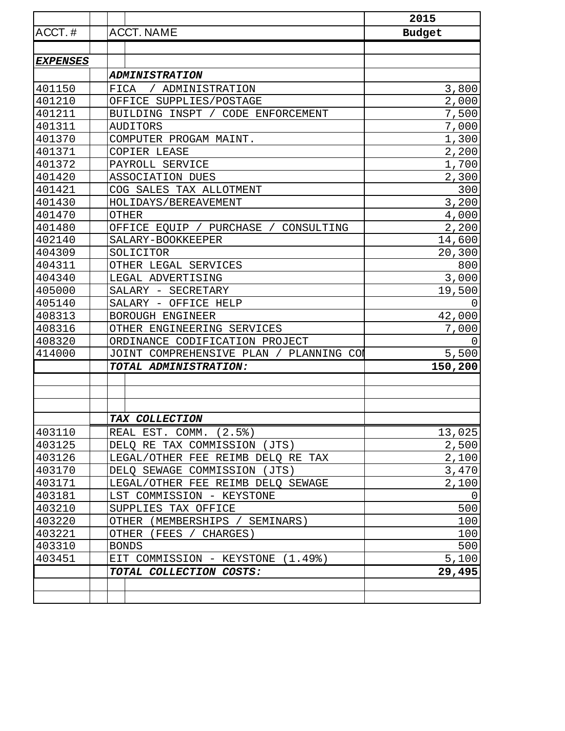|                 |                                            | 2015          |
|-----------------|--------------------------------------------|---------------|
| ACCT.#          | <b>ACCT. NAME</b>                          | <b>Budget</b> |
|                 |                                            |               |
| <b>EXPENSES</b> |                                            |               |
|                 | <b>ADMINISTRATION</b>                      |               |
| 401150          | / ADMINISTRATION<br>FICA                   | 3,800         |
| 401210          | OFFICE SUPPLIES/POSTAGE                    | 2,000         |
| 401211          | BUILDING INSPT / CODE ENFORCEMENT          | 7,500         |
| 401311          | <b>AUDITORS</b>                            | 7,000         |
| 401370          | COMPUTER PROGAM MAINT.                     | 1,300         |
| 401371          | COPIER LEASE                               | 2,200         |
| 401372          | PAYROLL SERVICE                            | 1,700         |
| 401420          | ASSOCIATION DUES                           | 2,300         |
| 401421          | COG SALES TAX ALLOTMENT                    | 300           |
| 401430          | HOLIDAYS / BEREAVEMENT                     | 3,200         |
| 401470          | <b>OTHER</b>                               | 4,000         |
| 401480          | OFFICE EQUIP / PURCHASE /<br>CONSULTING    | 2,200         |
| 402140          | SALARY-BOOKKEEPER                          | 14,600        |
| 404309          | SOLICITOR                                  | 20,300        |
| 404311          | OTHER LEGAL SERVICES                       | 800           |
| 404340          | LEGAL ADVERTISING                          | 3,000         |
| 405000          | SALARY - SECRETARY                         | 19,500        |
| 405140          | SALARY - OFFICE HELP                       | $\Omega$      |
| 408313          | BOROUGH ENGINEER                           | 42,000        |
| 408316          | OTHER ENGINEERING SERVICES                 | 7,000         |
| 408320          | ORDINANCE CODIFICATION PROJECT             | $\Omega$      |
| 414000          | JOINT COMPREHENSIVE PLAN /<br>PLANNING COL | 5,500         |
|                 | TOTAL ADMINISTRATION:                      | 150,200       |
|                 |                                            |               |
|                 |                                            |               |
|                 |                                            |               |
|                 | TAX COLLECTION                             |               |
| 403110          | REAL EST. COMM. (2.5%)                     | 13,025        |
| 403125          | DELO RE TAX COMMISSION (JTS)               | 2,500         |
| 403126          | LEGAL/OTHER FEE REIMB DELQ RE TAX          | 2,100         |
| 403170          | DELQ SEWAGE COMMISSION (JTS)               | 3,470         |
| 403171          | LEGAL/OTHER FEE REIMB DELO SEWAGE          | 2,100         |
| 403181          | LST COMMISSION - KEYSTONE                  | 0             |
| 403210          | SUPPLIES TAX OFFICE                        | 500           |
| 403220          | OTHER (MEMBERSHIPS / SEMINARS)             | 100           |
| 403221          | OTHER<br>(FEES / CHARGES)                  | 100           |
| 403310          | <b>BONDS</b>                               | 500           |
| 403451          | EIT COMMISSION - KEYSTONE (1.49%)          | 5,100         |
|                 | TOTAL COLLECTION COSTS:                    | 29,495        |
|                 |                                            |               |
|                 |                                            |               |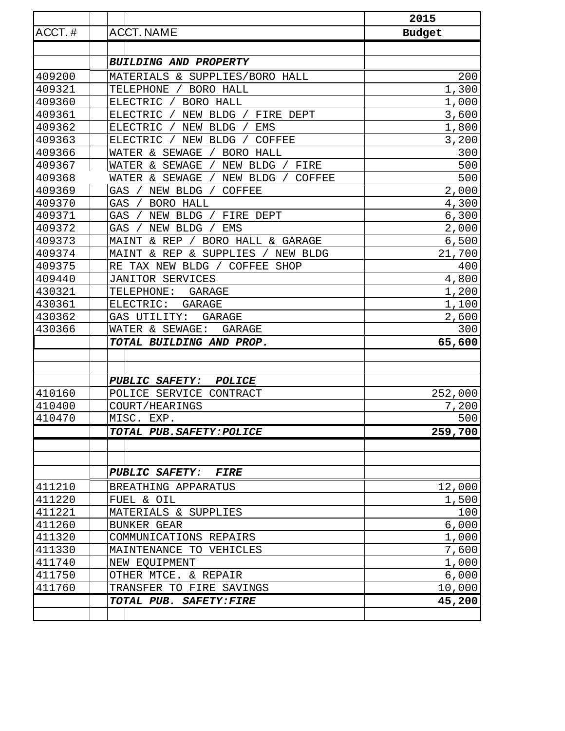|        |                                                     | 2015          |
|--------|-----------------------------------------------------|---------------|
| ACCT.# | <b>ACCT. NAME</b>                                   | <b>Budget</b> |
|        |                                                     |               |
|        | <b>BUILDING AND PROPERTY</b>                        |               |
| 409200 | MATERIALS & SUPPLIES/BORO HALL                      | 200           |
| 409321 | BORO HALL<br>TELEPHONE                              | 1,300         |
| 409360 | ELECTRIC<br>BORO HALL                               | 1,000         |
| 409361 | <b>ELECTRIC</b><br>NEW BLDG /<br>FIRE DEPT          | 3,600         |
| 409362 | <b>ELECTRIC</b><br>NEW<br><b>BLDG</b><br><b>EMS</b> | 1,800         |
| 409363 | <b>ELECTRIC</b><br>NEW BLDG<br><b>COFFEE</b>        | 3,200         |
| 409366 | WATER & SEWAGE<br>BORO HALL                         | 300           |
| 409367 | WATER & SEWAGE<br>NEW BLDG /<br>FIRE                | 500           |
| 409368 | WATER & SEWAGE<br>NEW BLDG<br><b>COFFEE</b>         | 500           |
| 409369 | GAS<br>NEW BLDG<br><b>COFFEE</b>                    | 2,000         |
| 409370 | GAS<br><b>BORO HALL</b>                             | 4,300         |
| 409371 | GAS<br>NEW BLDG<br>FIRE DEPT                        | 6,300         |
| 409372 | GAS<br>EMS<br>NEW BLDG                              | 2,000         |
| 409373 | MAINT & REP<br>BORO HALL & GARAGE                   | 6,500         |
| 409374 | & REP & SUPPLIES<br>NEW BLDG<br>MAINT               | 21,700        |
| 409375 | RE TAX NEW BLDG / COFFEE SHOP                       | 400           |
| 409440 | JANITOR SERVICES                                    | 4,800         |
| 430321 | TELEPHONE:<br><b>GARAGE</b>                         | 1,200         |
| 430361 | ELECTRIC:<br><b>GARAGE</b>                          | 1,100         |
| 430362 | GAS UTILITY:<br><b>GARAGE</b>                       | 2,600         |
| 430366 | WATER & SEWAGE:<br><b>GARAGE</b>                    | 300           |
|        | TOTAL BUILDING AND PROP.                            | 65,600        |
|        |                                                     |               |
|        | <b>PUBLIC SAFETY:</b><br><b>POLICE</b>              |               |
| 410160 | POLICE SERVICE CONTRACT                             | 252,000       |
| 410400 | COURT/HEARINGS                                      | 7,200         |
| 410470 | MISC. EXP.                                          | 500           |
|        | TOTAL PUB. SAFETY: POLICE                           | 259,700       |
|        |                                                     |               |
|        | <b>PUBLIC SAFETY:</b><br><i>FIRE</i>                |               |
| 411210 | BREATHING APPARATUS                                 | 12,000        |
| 411220 | FUEL & OIL                                          | 1,500         |
| 411221 | MATERIALS & SUPPLIES                                | 100           |
| 411260 | <b>BUNKER GEAR</b>                                  | 6,000         |
| 411320 | COMMUNICATIONS REPAIRS                              | 1,000         |
| 411330 | MAINTENANCE TO VEHICLES                             | 7,600         |
| 411740 | NEW EQUIPMENT                                       | 1,000         |
| 411750 | OTHER MTCE. & REPAIR                                | 6,000         |
| 411760 | TRANSFER TO FIRE SAVINGS                            | 10,000        |
|        | TOTAL PUB. SAFETY: FIRE                             | 45,200        |
|        |                                                     |               |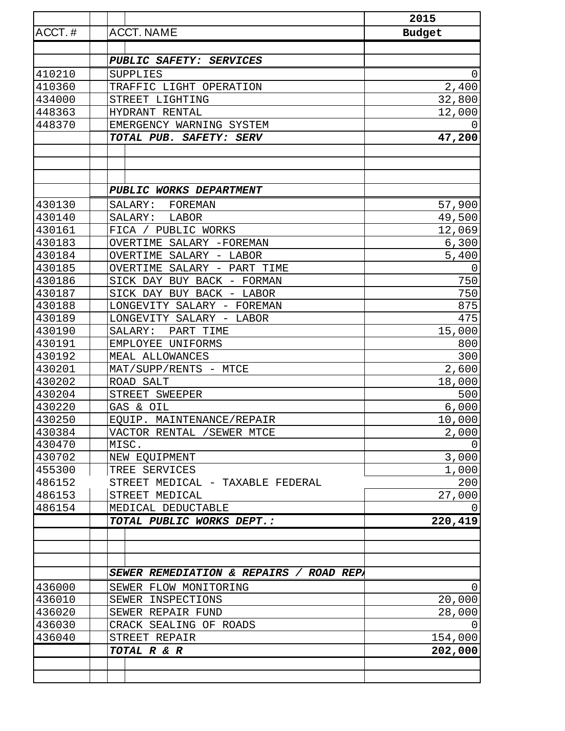|        |                                         | 2015          |
|--------|-----------------------------------------|---------------|
| ACCT.# | <b>ACCT. NAME</b>                       | <b>Budget</b> |
|        |                                         |               |
|        | PUBLIC SAFETY: SERVICES                 |               |
| 410210 | SUPPLIES                                | 0             |
| 410360 | TRAFFIC LIGHT OPERATION                 | 2,400         |
| 434000 | STREET LIGHTING                         | 32,800        |
| 448363 | HYDRANT RENTAL                          | 12,000        |
| 448370 | EMERGENCY WARNING SYSTEM                | 0             |
|        | TOTAL PUB. SAFETY: SERV                 | 47,200        |
|        |                                         |               |
|        |                                         |               |
|        |                                         |               |
|        | PUBLIC WORKS DEPARTMENT                 |               |
| 430130 | SALARY:<br>FOREMAN                      | 57,900        |
| 430140 | LABOR<br>SALARY:                        | 49,500        |
| 430161 | FICA / PUBLIC WORKS                     | 12,069        |
| 430183 | OVERTIME SALARY -FOREMAN                | 6,300         |
| 430184 | OVERTIME SALARY - LABOR                 | 5,400         |
| 430185 | OVERTIME SALARY - PART TIME             | 0             |
| 430186 | SICK DAY BUY BACK - FORMAN              | 750           |
| 430187 | SICK DAY BUY BACK - LABOR               | 750           |
| 430188 | LONGEVITY SALARY - FOREMAN              | 875           |
| 430189 | LONGEVITY SALARY - LABOR                | 475           |
| 430190 | PART TIME<br>SALARY:                    | 15,000        |
| 430191 | EMPLOYEE UNIFORMS                       | 800           |
| 430192 | MEAL ALLOWANCES                         | 300           |
| 430201 | MAT/SUPP/RENTS - MTCE                   | 2,600         |
| 430202 | ROAD SALT                               | 18,000        |
| 430204 | STREET SWEEPER                          | 500           |
| 430220 | GAS & OIL                               | 6,000         |
| 430250 | EOUIP. MAINTENANCE/REPAIR               | 10,000        |
| 430384 | VACTOR RENTAL / SEWER MTCE              | 2,000         |
| 430470 | MISC.                                   |               |
| 430702 | NEW EQUIPMENT                           | 3,000         |
| 455300 | TREE SERVICES                           | 1,000         |
| 486152 | STREET MEDICAL - TAXABLE FEDERAL        | 200           |
| 486153 | STREET MEDICAL                          | 27,000        |
| 486154 | MEDICAL DEDUCTABLE                      | $\Omega$      |
|        | TOTAL PUBLIC WORKS DEPT.:               | 220,419       |
|        |                                         |               |
|        |                                         |               |
|        | SEWER REMEDIATION & REPAIRS / ROAD REPA |               |
| 436000 | SEWER FLOW MONITORING                   | $\Omega$      |
| 436010 | SEWER INSPECTIONS                       | 20,000        |
| 436020 | SEWER REPAIR FUND                       | 28,000        |
| 436030 | CRACK SEALING OF ROADS                  | $\Omega$      |
| 436040 | STREET REPAIR                           | 154,000       |
|        | TOTAL R & R                             | 202,000       |
|        |                                         |               |
|        |                                         |               |
|        |                                         |               |